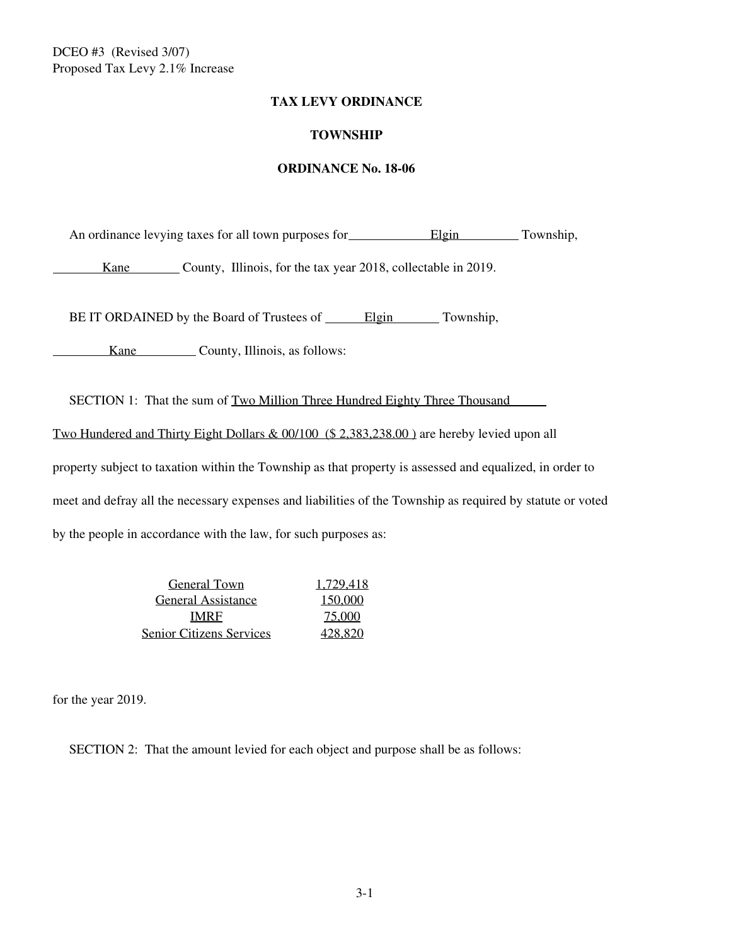### **TAX LEVY ORDINANCE**

## **TOWNSHIP**

### **ORDINANCE No. 18-06**

An ordinance levying taxes for all town purposes for **Elgin** Township,

Kane County, Illinois, for the tax year 2018, collectable in 2019.

BE IT ORDAINED by the Board of Trustees of Elgin Township,

Kane County, Illinois, as follows:

SECTION 1: That the sum of Two Million Three Hundred Eighty Three Thousand

Two Hundered and Thirty Eight Dollars & 00/100 (\$ 2,383,238.00 ) are hereby levied upon all

property subject to taxation within the Township as that property is assessed and equalized, in order to meet and defray all the necessary expenses and liabilities of the Township as required by statute or voted by the people in accordance with the law, for such purposes as:

> General Town 1.729.418 General Assistance 150,000 IMRF 75,000 Senior Citizens Services 428,820

for the year 2019.

SECTION 2: That the amount levied for each object and purpose shall be as follows: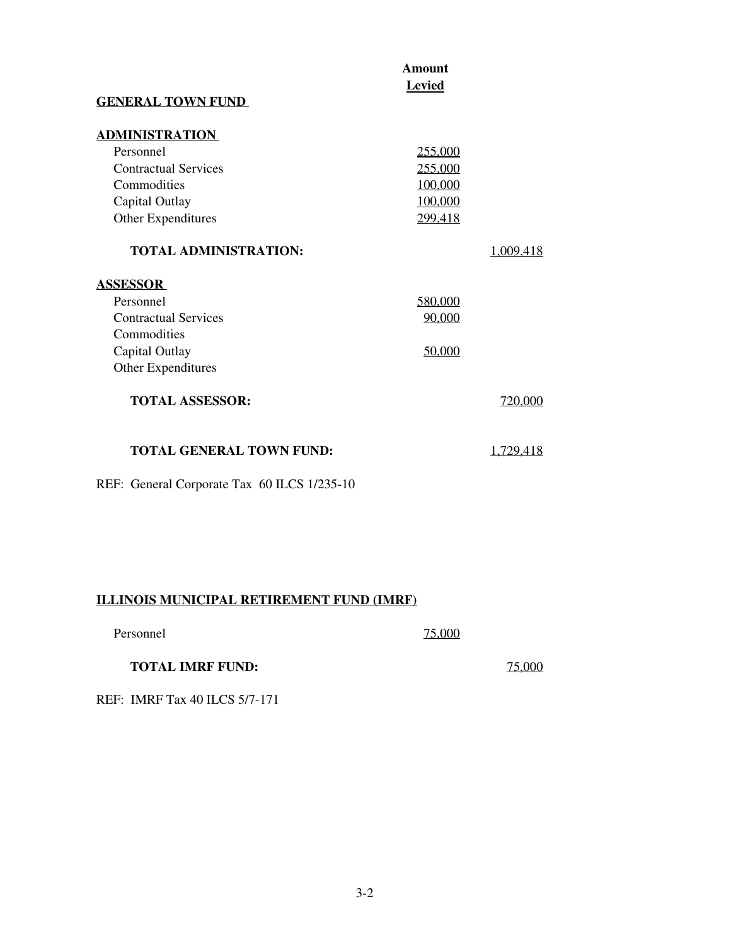| <b>GENERAL TOWN FUND</b>                                                                                                  | Amount<br>Levied                                    |           |  |
|---------------------------------------------------------------------------------------------------------------------------|-----------------------------------------------------|-----------|--|
| <b>ADMINISTRATION</b><br>Personnel<br><b>Contractual Services</b><br>Commodities<br>Capital Outlay<br>Other Expenditures  | 255,000<br>255,000<br>100,000<br>100,000<br>299,418 |           |  |
| <b>TOTAL ADMINISTRATION:</b>                                                                                              |                                                     | 1.009.418 |  |
| <b>ASSESSOR</b><br>Personnel<br><b>Contractual Services</b><br>Commodities<br>Capital Outlay<br><b>Other Expenditures</b> | 580,000<br>90,000<br>50,000                         |           |  |
| <b>TOTAL ASSESSOR:</b>                                                                                                    |                                                     | 720,000   |  |
| <b>TOTAL GENERAL TOWN FUND:</b>                                                                                           |                                                     | 1.729.418 |  |

REF: General Corporate Tax 60 ILCS 1/235-10

# **ILLINOIS MUNICIPAL RETIREMENT FUND (IMRF)**

| Personnel | 75,000 |
|-----------|--------|
|-----------|--------|

## **TOTAL IMRF FUND:** 75,000

REF: IMRF Tax 40 ILCS 5/7-171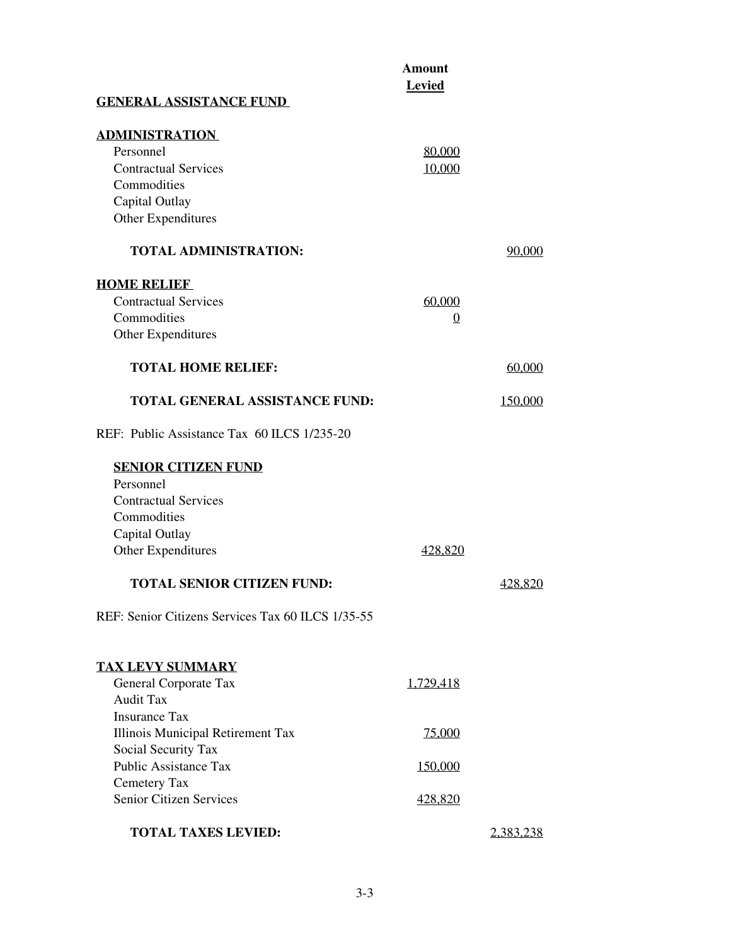|                                                   | <b>Amount</b><br><b>Levied</b> |                |
|---------------------------------------------------|--------------------------------|----------------|
| <b>GENERAL ASSISTANCE FUND</b>                    |                                |                |
| <b>ADMINISTRATION</b>                             |                                |                |
| Personnel                                         | 80,000                         |                |
| <b>Contractual Services</b>                       | 10,000                         |                |
| Commodities                                       |                                |                |
| Capital Outlay                                    |                                |                |
| <b>Other Expenditures</b>                         |                                |                |
| <b>TOTAL ADMINISTRATION:</b>                      |                                | 90,000         |
| <b>HOME RELIEF</b>                                |                                |                |
| <b>Contractual Services</b>                       | 60,000                         |                |
| Commodities                                       | $\overline{0}$                 |                |
| Other Expenditures                                |                                |                |
| <b>TOTAL HOME RELIEF:</b>                         |                                | 60,000         |
| <b>TOTAL GENERAL ASSISTANCE FUND:</b>             |                                | <u>150.000</u> |
| REF: Public Assistance Tax 60 ILCS 1/235-20       |                                |                |
| <b>SENIOR CITIZEN FUND</b>                        |                                |                |
| Personnel                                         |                                |                |
| <b>Contractual Services</b>                       |                                |                |
| Commodities                                       |                                |                |
| Capital Outlay                                    |                                |                |
| <b>Other Expenditures</b>                         | 428.820                        |                |
| <b>TOTAL SENIOR CITIZEN FUND:</b>                 |                                | 428,820        |
| REF: Senior Citizens Services Tax 60 ILCS 1/35-55 |                                |                |
| <b>TAX LEVY SUMMARY</b>                           |                                |                |
| General Corporate Tax                             | 1,729,418                      |                |
| <b>Audit Tax</b>                                  |                                |                |
| <b>Insurance Tax</b>                              |                                |                |
| Illinois Municipal Retirement Tax                 | <u>75,000</u>                  |                |
| Social Security Tax                               |                                |                |
| <b>Public Assistance Tax</b>                      | 150,000                        |                |
| Cemetery Tax                                      |                                |                |
| <b>Senior Citizen Services</b>                    | 428,820                        |                |
| <b>TOTAL TAXES LEVIED:</b>                        |                                | 2.383.238      |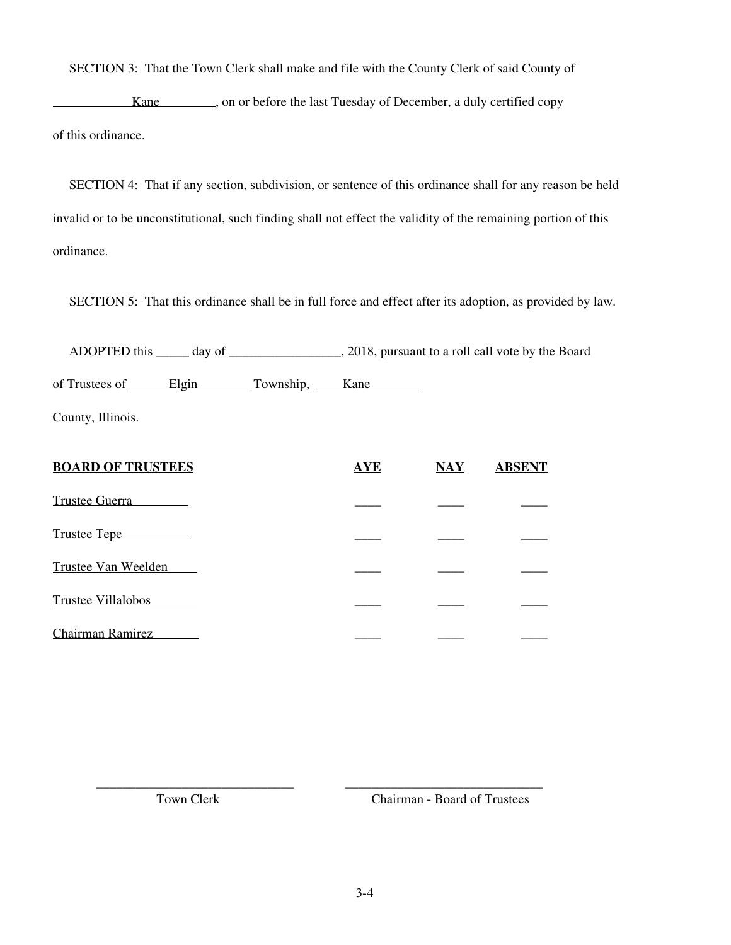SECTION 3: That the Town Clerk shall make and file with the County Clerk of said County of

Kane strategies on or before the last Tuesday of December, a duly certified copy of this ordinance.

 SECTION 4: That if any section, subdivision, or sentence of this ordinance shall for any reason be held invalid or to be unconstitutional, such finding shall not effect the validity of the remaining portion of this ordinance.

SECTION 5: That this ordinance shall be in full force and effect after its adoption, as provided by law.

 ADOPTED this \_\_\_\_\_ day of \_\_\_\_\_\_\_\_\_\_\_\_\_\_\_\_\_, 2018, pursuant to a roll call vote by the Board of Trustees of Elgin Township, Kane

County, Illinois.

| <b>BOARD OF TRUSTEES</b>  | <b>AYE</b> | $\overline{\text{NAY}}$ | <b>ABSENT</b> |
|---------------------------|------------|-------------------------|---------------|
| <b>Trustee Guerra</b>     |            |                         |               |
| Trustee Tepe              |            |                         |               |
| Trustee Van Weelden       |            |                         |               |
| <b>Trustee Villalobos</b> |            |                         |               |
| <b>Chairman Ramirez</b>   |            |                         |               |

\_\_\_\_\_\_\_\_\_\_\_\_\_\_\_\_\_\_\_\_\_\_\_\_\_\_\_\_\_\_ \_\_\_\_\_\_\_\_\_\_\_\_\_\_\_\_\_\_\_\_\_\_\_\_\_\_\_\_\_\_

Town Clerk Chairman - Board of Trustees